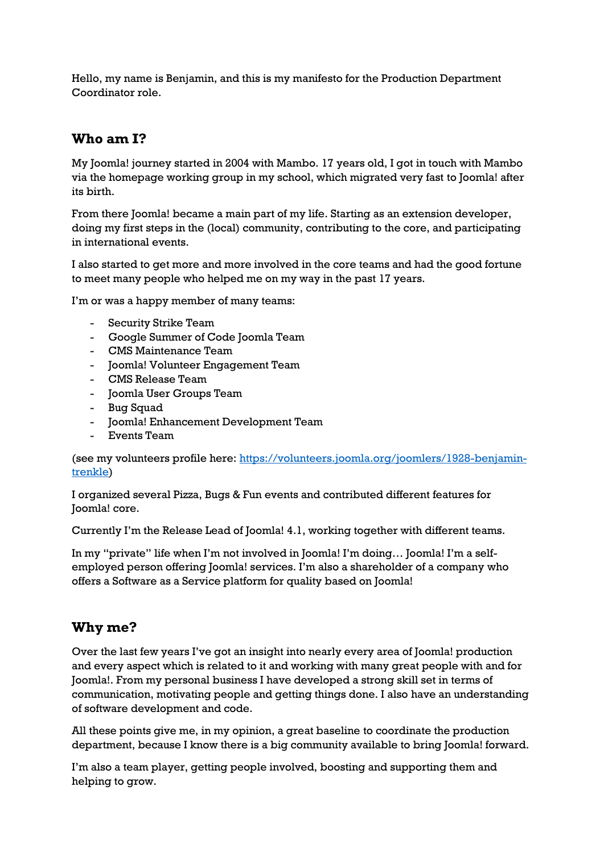Hello, my name is Benjamin, and this is my manifesto for the Production Department Coordinator role.

## **Who am I?**

My Joomla! journey started in 2004 with Mambo. 17 years old, I got in touch with Mambo via the homepage working group in my school, which migrated very fast to Joomla! after its birth.

From there Joomla! became a main part of my life. Starting as an extension developer, doing my first steps in the (local) community, contributing to the core, and participating in international events.

I also started to get more and more involved in the core teams and had the good fortune to meet many people who helped me on my way in the past 17 years.

I'm or was a happy member of many teams:

- Security Strike Team
- Google Summer of Code Joomla Team
- CMS Maintenance Team
- Joomla! Volunteer Engagement Team
- CMS Release Team
- Joomla User Groups Team
- Bug Squad
- Joomla! Enhancement Development Team
- Events Team

(see my volunteers profile here: [https://volunteers.joomla.org/joomlers/1928-benjamin](https://volunteers.joomla.org/joomlers/1928-benjamin-trenkle)[trenkle\)](https://volunteers.joomla.org/joomlers/1928-benjamin-trenkle)

I organized several Pizza, Bugs & Fun events and contributed different features for Joomla! core.

Currently I'm the Release Lead of Joomla! 4.1, working together with different teams.

In my "private" life when I'm not involved in Joomla! I'm doing… Joomla! I'm a selfemployed person offering Joomla! services. I'm also a shareholder of a company who offers a Software as a Service platform for quality based on Joomla!

## **Why me?**

Over the last few years I've got an insight into nearly every area of Joomla! production and every aspect which is related to it and working with many great people with and for Joomla!. From my personal business I have developed a strong skill set in terms of communication, motivating people and getting things done. I also have an understanding of software development and code.

All these points give me, in my opinion, a great baseline to coordinate the production department, because I know there is a big community available to bring Joomla! forward.

I'm also a team player, getting people involved, boosting and supporting them and helping to grow.